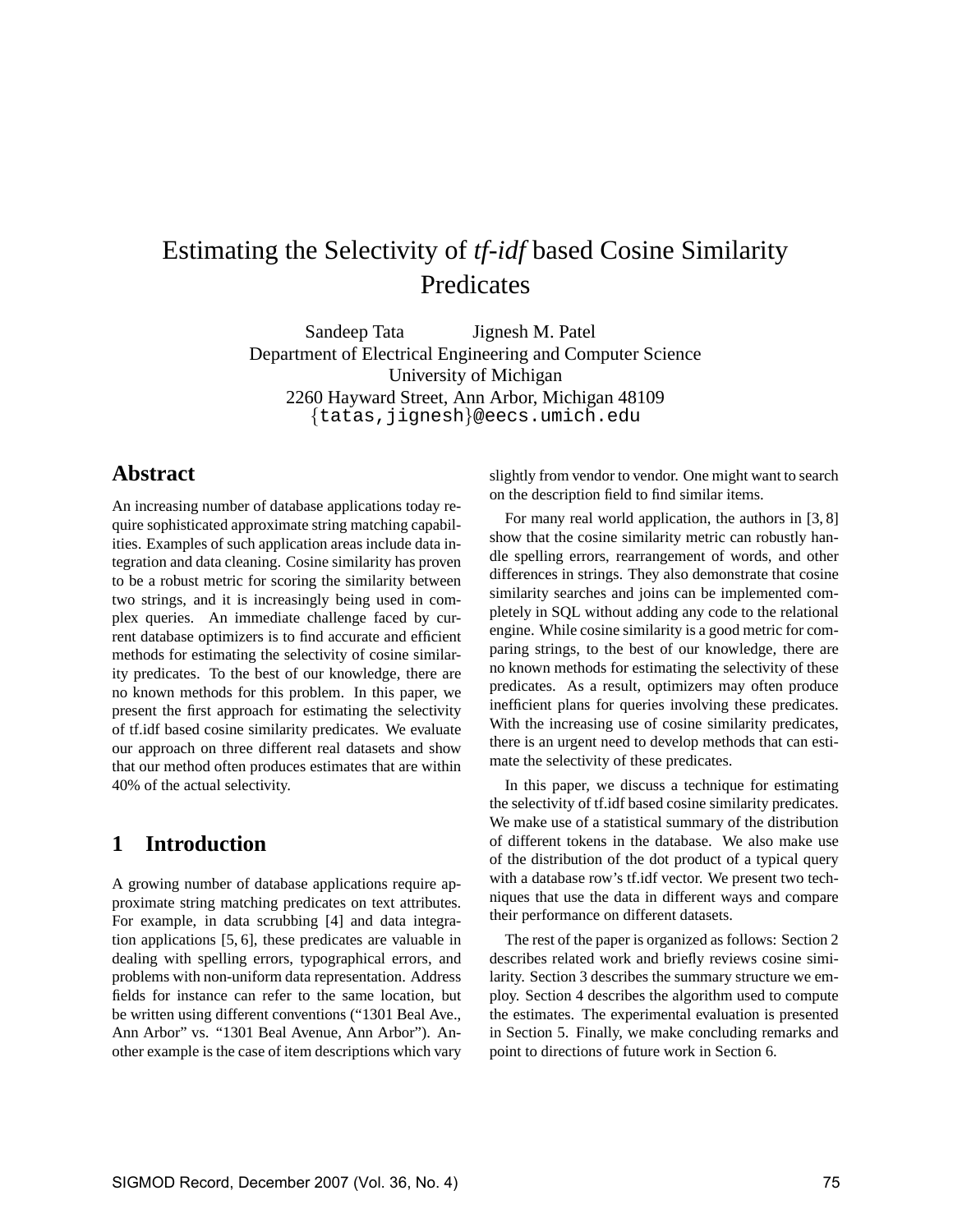# Estimating the Selectivity of *tf-idf* based Cosine Similarity Predicates

Sandeep Tata Jignesh M. Patel Department of Electrical Engineering and Computer Science University of Michigan 2260 Hayward Street, Ann Arbor, Michigan 48109 {tatas,jignesh}@eecs.umich.edu

### **Abstract**

An increasing number of database applications today require sophisticated approximate string matching capabilities. Examples of such application areas include data integration and data cleaning. Cosine similarity has proven to be a robust metric for scoring the similarity between two strings, and it is increasingly being used in complex queries. An immediate challenge faced by current database optimizers is to find accurate and efficient methods for estimating the selectivity of cosine similarity predicates. To the best of our knowledge, there are no known methods for this problem. In this paper, we present the first approach for estimating the selectivity of tf.idf based cosine similarity predicates. We evaluate our approach on three different real datasets and show that our method often produces estimates that are within 40% of the actual selectivity.

# **1 Introduction**

A growing number of database applications require approximate string matching predicates on text attributes. For example, in data scrubbing [4] and data integration applications [5, 6], these predicates are valuable in dealing with spelling errors, typographical errors, and problems with non-uniform data representation. Address fields for instance can refer to the same location, but be written using different conventions ("1301 Beal Ave., Ann Arbor" vs. "1301 Beal Avenue, Ann Arbor"). Another example is the case of item descriptions which vary slightly from vendor to vendor. One might want to search on the description field to find similar items.

For many real world application, the authors in [3, 8] show that the cosine similarity metric can robustly handle spelling errors, rearrangement of words, and other differences in strings. They also demonstrate that cosine similarity searches and joins can be implemented completely in SQL without adding any code to the relational engine. While cosine similarity is a good metric for comparing strings, to the best of our knowledge, there are no known methods for estimating the selectivity of these predicates. As a result, optimizers may often produce inefficient plans for queries involving these predicates. With the increasing use of cosine similarity predicates, there is an urgent need to develop methods that can estimate the selectivity of these predicates.

In this paper, we discuss a technique for estimating the selectivity of tf.idf based cosine similarity predicates. We make use of a statistical summary of the distribution of different tokens in the database. We also make use of the distribution of the dot product of a typical query with a database row's tf.idf vector. We present two techniques that use the data in different ways and compare their performance on different datasets.

The rest of the paper is organized as follows: Section 2 describes related work and briefly reviews cosine similarity. Section 3 describes the summary structure we employ. Section 4 describes the algorithm used to compute the estimates. The experimental evaluation is presented in Section 5. Finally, we make concluding remarks and point to directions of future work in Section 6.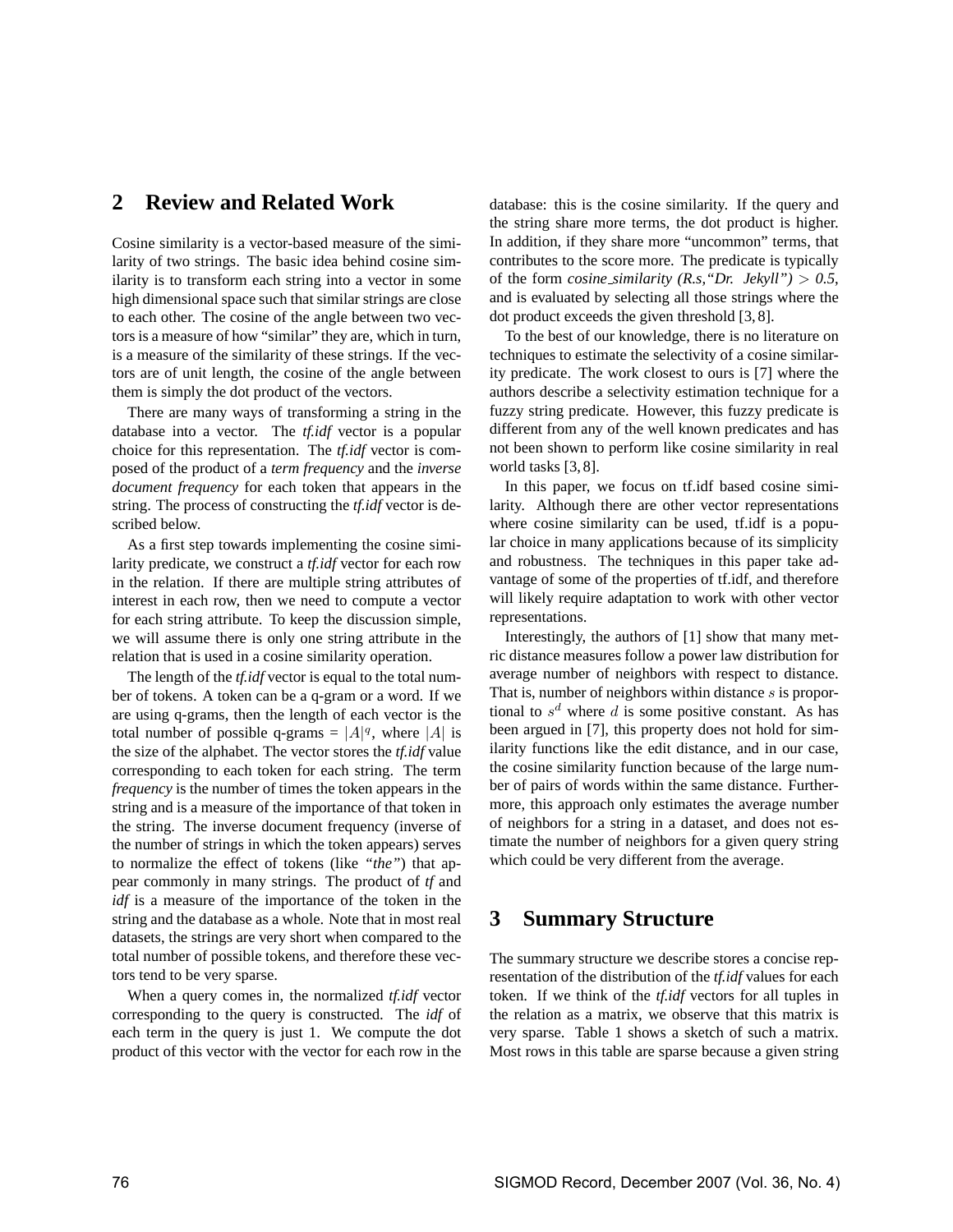### **2 Review and Related Work**

Cosine similarity is a vector-based measure of the similarity of two strings. The basic idea behind cosine similarity is to transform each string into a vector in some high dimensional space such that similar strings are close to each other. The cosine of the angle between two vectors is a measure of how "similar" they are, which in turn, is a measure of the similarity of these strings. If the vectors are of unit length, the cosine of the angle between them is simply the dot product of the vectors.

There are many ways of transforming a string in the database into a vector. The *tf.idf* vector is a popular choice for this representation. The *tf.idf* vector is composed of the product of a *term frequency* and the *inverse document frequency* for each token that appears in the string. The process of constructing the *tf.idf* vector is described below.

As a first step towards implementing the cosine similarity predicate, we construct a *tf.idf* vector for each row in the relation. If there are multiple string attributes of interest in each row, then we need to compute a vector for each string attribute. To keep the discussion simple, we will assume there is only one string attribute in the relation that is used in a cosine similarity operation.

The length of the *tf.idf* vector is equal to the total number of tokens. A token can be a q-gram or a word. If we are using q-grams, then the length of each vector is the total number of possible q-grams =  $|A|^q$ , where |A| is the size of the alphabet. The vector stores the *tf.idf* value corresponding to each token for each string. The term *frequency* is the number of times the token appears in the string and is a measure of the importance of that token in the string. The inverse document frequency (inverse of the number of strings in which the token appears) serves to normalize the effect of tokens (like *"the"*) that appear commonly in many strings. The product of *tf* and *idf* is a measure of the importance of the token in the string and the database as a whole. Note that in most real datasets, the strings are very short when compared to the total number of possible tokens, and therefore these vectors tend to be very sparse.

When a query comes in, the normalized *tf.idf* vector corresponding to the query is constructed. The *idf* of each term in the query is just 1. We compute the dot product of this vector with the vector for each row in the database: this is the cosine similarity. If the query and the string share more terms, the dot product is higher. In addition, if they share more "uncommon" terms, that contributes to the score more. The predicate is typically of the form *cosine\_similarity* (*R.s, "Dr. Jekyll"*) > 0.5, and is evaluated by selecting all those strings where the dot product exceeds the given threshold [3, 8].

To the best of our knowledge, there is no literature on techniques to estimate the selectivity of a cosine similarity predicate. The work closest to ours is [7] where the authors describe a selectivity estimation technique for a fuzzy string predicate. However, this fuzzy predicate is different from any of the well known predicates and has not been shown to perform like cosine similarity in real world tasks [3, 8].

In this paper, we focus on tf.idf based cosine similarity. Although there are other vector representations where cosine similarity can be used, tf.idf is a popular choice in many applications because of its simplicity and robustness. The techniques in this paper take advantage of some of the properties of tf.idf, and therefore will likely require adaptation to work with other vector representations.

Interestingly, the authors of [1] show that many metric distance measures follow a power law distribution for average number of neighbors with respect to distance. That is, number of neighbors within distance  $s$  is proportional to  $s^d$  where d is some positive constant. As has been argued in [7], this property does not hold for similarity functions like the edit distance, and in our case, the cosine similarity function because of the large number of pairs of words within the same distance. Furthermore, this approach only estimates the average number of neighbors for a string in a dataset, and does not estimate the number of neighbors for a given query string which could be very different from the average.

### **3 Summary Structure**

The summary structure we describe stores a concise representation of the distribution of the *tf.idf* values for each token. If we think of the *tf.idf* vectors for all tuples in the relation as a matrix, we observe that this matrix is very sparse. Table 1 shows a sketch of such a matrix. Most rows in this table are sparse because a given string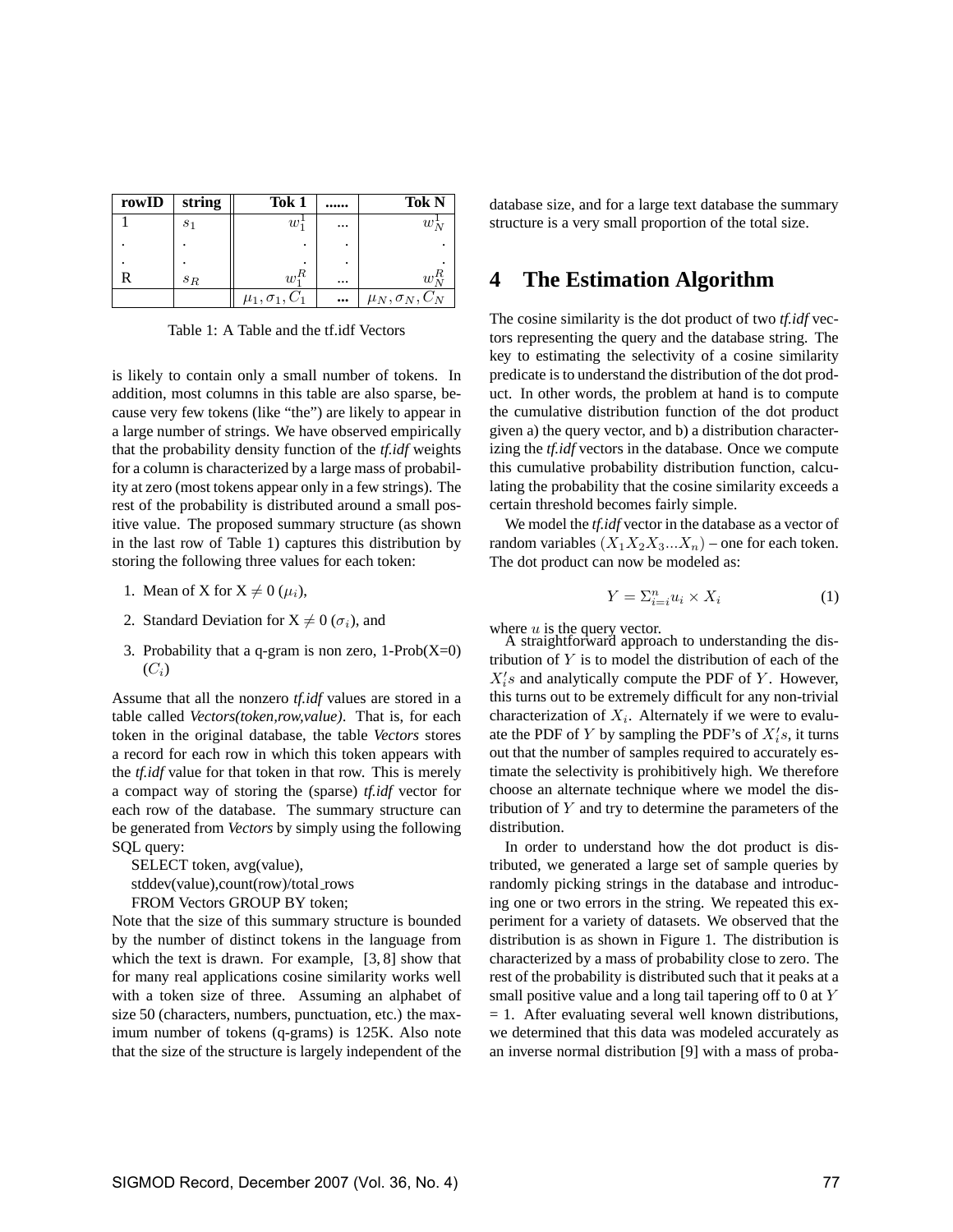| rowID | string         | Tok 1                  |          | Tok N                  |
|-------|----------------|------------------------|----------|------------------------|
|       | S <sub>1</sub> | w                      | $\cdots$ | $w_{\lambda}$          |
|       |                |                        |          |                        |
|       |                |                        |          |                        |
|       | $s_R$          | $w_1^R$                | $\cdots$ | w                      |
|       |                | $\mu_1, \sigma_1, C_1$ | $\cdots$ | $\mu_N, \sigma_N, C_N$ |

Table 1: A Table and the tf.idf Vectors

is likely to contain only a small number of tokens. In addition, most columns in this table are also sparse, because very few tokens (like "the") are likely to appear in a large number of strings. We have observed empirically that the probability density function of the *tf.idf* weights for a column is characterized by a large mass of probability at zero (most tokens appear only in a few strings). The rest of the probability is distributed around a small positive value. The proposed summary structure (as shown in the last row of Table 1) captures this distribution by storing the following three values for each token:

- 1. Mean of X for  $X \neq 0$  ( $\mu_i$ ),
- 2. Standard Deviation for  $X \neq 0$  ( $\sigma_i$ ), and
- 3. Probability that a q-gram is non zero,  $1\text{-Prob}(X=0)$  $(C_i)$

Assume that all the nonzero *tf.idf* values are stored in a table called *Vectors(token,row,value)*. That is, for each token in the original database, the table *Vectors* stores a record for each row in which this token appears with the *tf.idf* value for that token in that row. This is merely a compact way of storing the (sparse) *tf.idf* vector for each row of the database. The summary structure can be generated from *Vectors* by simply using the following SQL query:

SELECT token, avg(value), stddev(value),count(row)/total\_rows FROM Vectors GROUP BY token;

Note that the size of this summary structure is bounded by the number of distinct tokens in the language from which the text is drawn. For example, [3, 8] show that for many real applications cosine similarity works well with a token size of three. Assuming an alphabet of size 50 (characters, numbers, punctuation, etc.) the maximum number of tokens (q-grams) is 125K. Also note that the size of the structure is largely independent of the database size, and for a large text database the summary structure is a very small proportion of the total size.

### **4 The Estimation Algorithm**

The cosine similarity is the dot product of two *tf.idf* vectors representing the query and the database string. The key to estimating the selectivity of a cosine similarity predicate is to understand the distribution of the dot product. In other words, the problem at hand is to compute the cumulative distribution function of the dot product given a) the query vector, and b) a distribution characterizing the *tf.idf* vectors in the database. Once we compute this cumulative probability distribution function, calculating the probability that the cosine similarity exceeds a certain threshold becomes fairly simple.

We model the *tf.idf* vector in the database as a vector of random variables  $(X_1X_2X_3...X_n)$  – one for each token. The dot product can now be modeled as:

$$
Y = \sum_{i=i}^{n} u_i \times X_i \tag{1}
$$

where  $u$  is the query vector.

A straightforward approach to understanding the distribution of  $Y$  is to model the distribution of each of the  $X_i$ 's and analytically compute the PDF of Y. However, this turns out to be extremely difficult for any non-trivial characterization of  $X_i$ . Alternately if we were to evaluate the PDF of Y by sampling the PDF's of  $X_i's$ , it turns out that the number of samples required to accurately estimate the selectivity is prohibitively high. We therefore choose an alternate technique where we model the distribution of  $Y$  and try to determine the parameters of the distribution.

In order to understand how the dot product is distributed, we generated a large set of sample queries by randomly picking strings in the database and introducing one or two errors in the string. We repeated this experiment for a variety of datasets. We observed that the distribution is as shown in Figure 1. The distribution is characterized by a mass of probability close to zero. The rest of the probability is distributed such that it peaks at a small positive value and a long tail tapering off to 0 at Y  $= 1$ . After evaluating several well known distributions, we determined that this data was modeled accurately as an inverse normal distribution [9] with a mass of proba-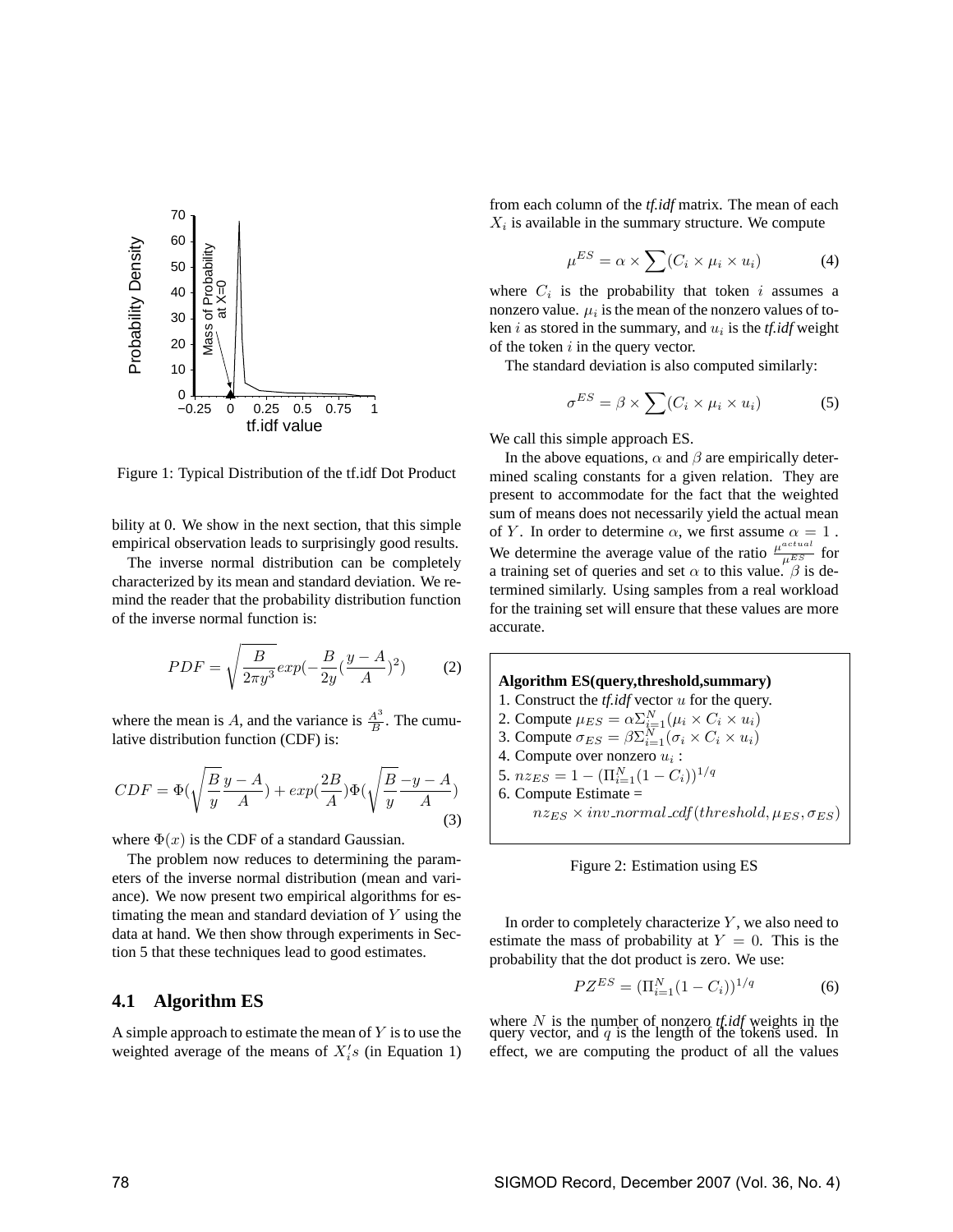

Figure 1: Typical Distribution of the tf.idf Dot Product

bility at 0. We show in the next section, that this simple empirical observation leads to surprisingly good results.

The inverse normal distribution can be completely characterized by its mean and standard deviation. We remind the reader that the probability distribution function of the inverse normal function is:

$$
PDF = \sqrt{\frac{B}{2\pi y^3}} exp(-\frac{B}{2y}(\frac{y - A}{A})^2)
$$
 (2)

where the mean is A, and the variance is  $\frac{A^3}{B}$  $\frac{A^{\circ}}{B}$ . The cumulative distribution function (CDF) is:

$$
CDF = \Phi\left(\sqrt{\frac{B}{y}} \frac{y - A}{A}\right) + \exp\left(\frac{2B}{A}\right) \Phi\left(\sqrt{\frac{B}{y}} \frac{-y - A}{A}\right) \tag{3}
$$

where  $\Phi(x)$  is the CDF of a standard Gaussian.

The problem now reduces to determining the parameters of the inverse normal distribution (mean and variance). We now present two empirical algorithms for estimating the mean and standard deviation of Y using the data at hand. We then show through experiments in Section 5 that these techniques lead to good estimates.

#### **4.1 Algorithm ES**

A simple approach to estimate the mean of  $Y$  is to use the weighted average of the means of  $X_i$ 's (in Equation 1)

from each column of the *tf.idf* matrix. The mean of each  $X_i$  is available in the summary structure. We compute

$$
\mu^{ES} = \alpha \times \sum (C_i \times \mu_i \times u_i)
$$
 (4)

where  $C_i$  is the probability that token i assumes a nonzero value.  $\mu_i$  is the mean of the nonzero values of token  $i$  as stored in the summary, and  $u_i$  is the *tf.idf* weight of the token  $i$  in the query vector.

The standard deviation is also computed similarly:

$$
\sigma^{ES} = \beta \times \sum (C_i \times \mu_i \times u_i)
$$
 (5)

We call this simple approach ES.

In the above equations,  $\alpha$  and  $\beta$  are empirically determined scaling constants for a given relation. They are present to accommodate for the fact that the weighted sum of means does not necessarily yield the actual mean of Y. In order to determine  $\alpha$ , we first assume  $\alpha = 1$ . We determine the average value of the ratio  $\frac{\mu^{actual}}{\mu^{ES}}$  for a training set of queries and set  $\alpha$  to this value.  $\beta$  is determined similarly. Using samples from a real workload for the training set will ensure that these values are more accurate.





In order to completely characterize  $Y$ , we also need to estimate the mass of probability at  $Y = 0$ . This is the probability that the dot product is zero. We use:

$$
PZ^{ES} = (\Pi_{i=1}^{N} (1 - C_i))^{1/q}
$$
 (6)

where  $N$  is the number of nonzero *tf.idf* weights in the query vector, and  $q$  is the length of the tokens used. In effect, we are computing the product of all the values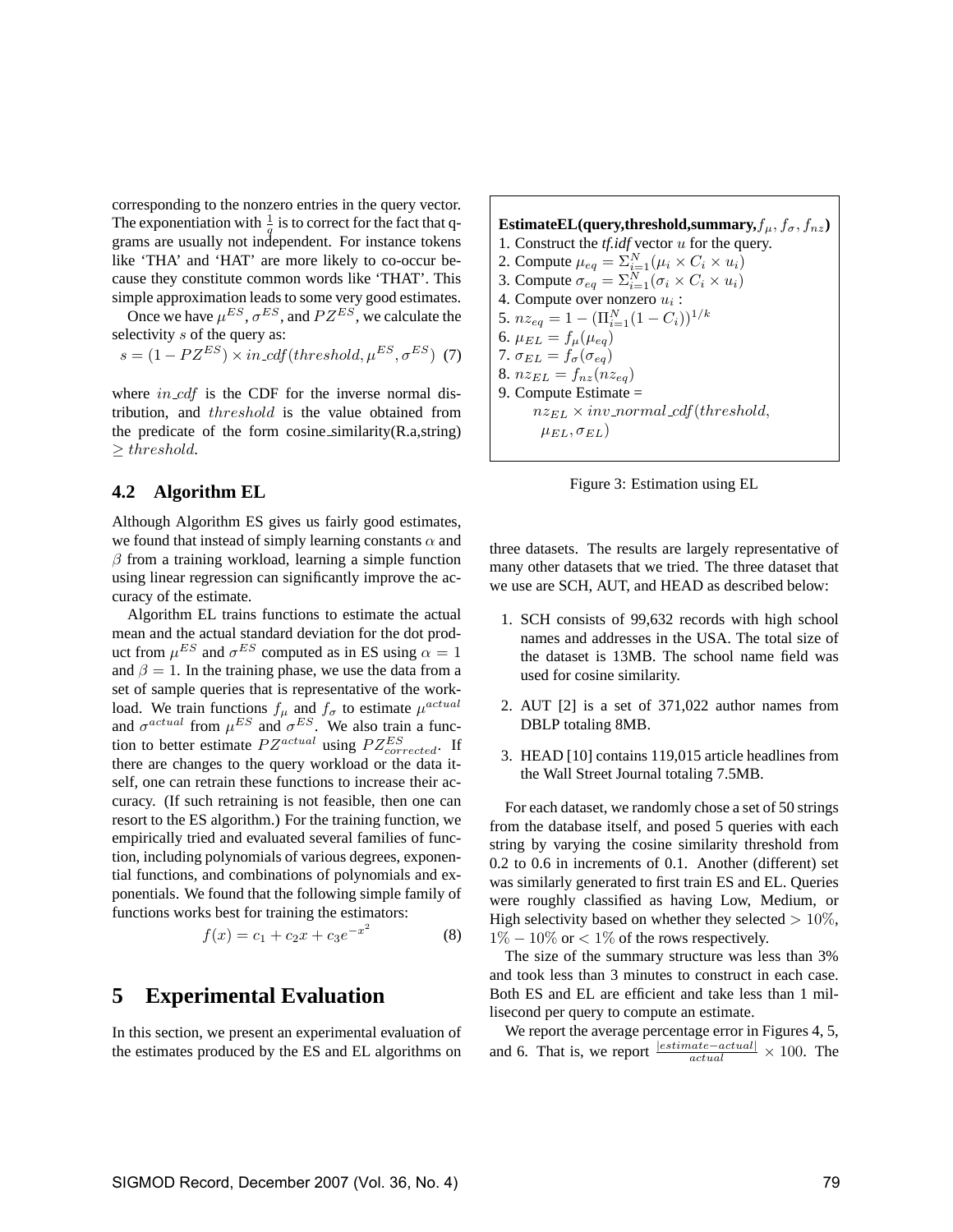corresponding to the nonzero entries in the query vector. The exponentiation with  $\frac{1}{q}$  is to correct for the fact that qgrams are usually not independent. For instance tokens like 'THA' and 'HAT' are more likely to co-occur because they constitute common words like 'THAT'. This simple approximation leads to some very good estimates.

Once we have  $\mu^{ES}$ ,  $\sigma^{ES}$ , and  $PZ^{ES}$ , we calculate the selectivity s of the query as:

$$
s = (1 - PZ^{ES}) \times in\_cdf(threshold, \mu^{ES}, \sigma^{ES}) \tag{7}
$$

where  $in\_cdf$  is the CDF for the inverse normal distribution, and threshold is the value obtained from the predicate of the form cosine similarity(R.a,string) ≥ threshold.

#### **4.2 Algorithm EL**

Although Algorithm ES gives us fairly good estimates, we found that instead of simply learning constants  $\alpha$  and  $\beta$  from a training workload, learning a simple function using linear regression can significantly improve the accuracy of the estimate.

Algorithm EL trains functions to estimate the actual mean and the actual standard deviation for the dot product from  $\mu^{ES}$  and  $\sigma^{ES}$  computed as in ES using  $\alpha = 1$ and  $\beta = 1$ . In the training phase, we use the data from a set of sample queries that is representative of the workload. We train functions  $f_{\mu}$  and  $f_{\sigma}$  to estimate  $\mu^{actual}$ and  $\sigma^{actual}$  from  $\mu^{ES}$  and  $\sigma^{ES}$ . We also train a function to better estimate  $PZ^{actual}$  using  $PZ^{ES}_{corrected}$ . If there are changes to the query workload or the data itself, one can retrain these functions to increase their accuracy. (If such retraining is not feasible, then one can resort to the ES algorithm.) For the training function, we empirically tried and evaluated several families of function, including polynomials of various degrees, exponential functions, and combinations of polynomials and exponentials. We found that the following simple family of functions works best for training the estimators:

$$
f(x) = c_1 + c_2 x + c_3 e^{-x^2}
$$
 (8)

### **5 Experimental Evaluation**

In this section, we present an experimental evaluation of the estimates produced by the ES and EL algorithms on

**EstimateEL(query,threshold,summary,** $f_{\mu}$ ,  $f_{\sigma}$ ,  $f_{nz}$ ) 1. Construct the *tf.idf* vector u for the query. 2. Compute  $\mu_{eq} = \sum_{i=1}^{N} (\mu_i \times C_i \times u_i)$ 3. Compute  $\sigma_{eq} = \sum_{i=1}^{N} (\sigma_i \times C_i \times u_i)$ 4. Compute over nonzero  $u_i$ : 5.  $nz_{eq} = 1 - (\Pi_{i=1}^N (1 - C_i))^{1/k}$ 6.  $\mu_{EL} = f_{\mu}(\mu_{eq})$ 7.  $\sigma_{EL} = f_{\sigma}(\sigma_{eq})$ 8.  $nz_{EL} = f_{nz}(nz_{eq})$ 9. Compute Estimate =  $nz_{EL} \times inv\_normal\_cdf(threshold,$  $\mu_{EL}, \sigma_{EL}$ )



three datasets. The results are largely representative of many other datasets that we tried. The three dataset that we use are SCH, AUT, and HEAD as described below:

- 1. SCH consists of 99,632 records with high school names and addresses in the USA. The total size of the dataset is 13MB. The school name field was used for cosine similarity.
- 2. AUT [2] is a set of 371,022 author names from DBLP totaling 8MB.
- 3. HEAD [10] contains 119,015 article headlines from the Wall Street Journal totaling 7.5MB.

For each dataset, we randomly chose a set of 50 strings from the database itself, and posed 5 queries with each string by varying the cosine similarity threshold from 0.2 to 0.6 in increments of 0.1. Another (different) set was similarly generated to first train ES and EL. Queries were roughly classified as having Low, Medium, or High selectivity based on whether they selected  $> 10\%$ .  $1\% - 10\%$  or  $\lt 1\%$  of the rows respectively.

The size of the summary structure was less than 3% and took less than 3 minutes to construct in each case. Both ES and EL are efficient and take less than 1 millisecond per query to compute an estimate.

We report the average percentage error in Figures 4, 5, and 6. That is, we report  $\frac{|estimate - actual|}{actual} \times 100$ . The